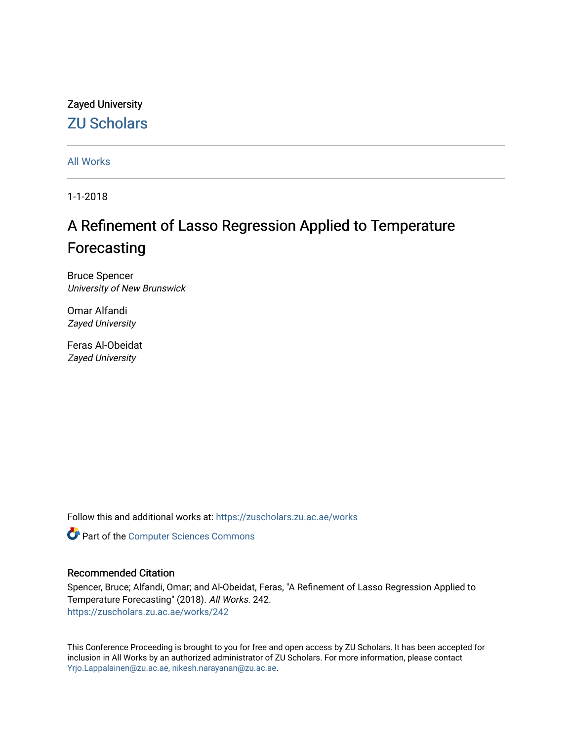# Zayed University [ZU Scholars](https://zuscholars.zu.ac.ae/)

[All Works](https://zuscholars.zu.ac.ae/works)

1-1-2018

# A Refinement of Lasso Regression Applied to Temperature Forecasting

Bruce Spencer University of New Brunswick

Omar Alfandi Zayed University

Feras Al-Obeidat Zayed University

Follow this and additional works at: [https://zuscholars.zu.ac.ae/works](https://zuscholars.zu.ac.ae/works?utm_source=zuscholars.zu.ac.ae%2Fworks%2F242&utm_medium=PDF&utm_campaign=PDFCoverPages)

**Part of the [Computer Sciences Commons](http://network.bepress.com/hgg/discipline/142?utm_source=zuscholars.zu.ac.ae%2Fworks%2F242&utm_medium=PDF&utm_campaign=PDFCoverPages)** 

# Recommended Citation

Spencer, Bruce; Alfandi, Omar; and Al-Obeidat, Feras, "A Refinement of Lasso Regression Applied to Temperature Forecasting" (2018). All Works. 242. [https://zuscholars.zu.ac.ae/works/242](https://zuscholars.zu.ac.ae/works/242?utm_source=zuscholars.zu.ac.ae%2Fworks%2F242&utm_medium=PDF&utm_campaign=PDFCoverPages) 

This Conference Proceeding is brought to you for free and open access by ZU Scholars. It has been accepted for inclusion in All Works by an authorized administrator of ZU Scholars. For more information, please contact [Yrjo.Lappalainen@zu.ac.ae, nikesh.narayanan@zu.ac.ae](mailto:Yrjo.Lappalainen@zu.ac.ae,%20nikesh.narayanan@zu.ac.ae).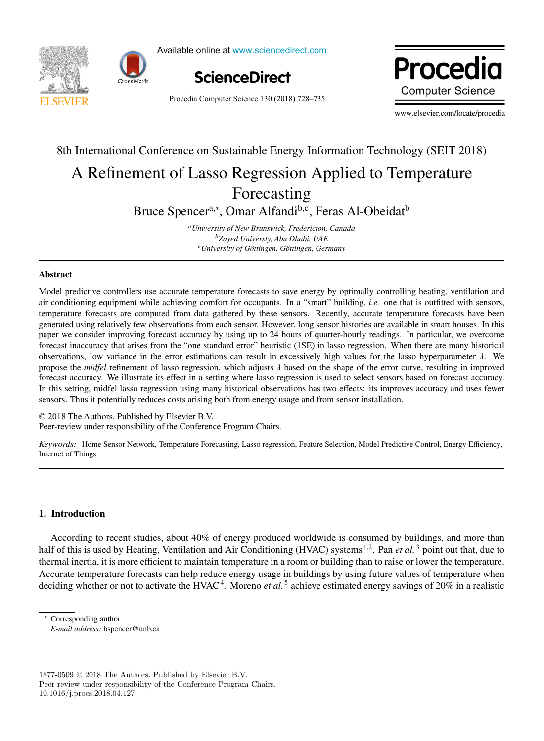



Available online at www.sciencedirect.com Available online at www.sciencedirect.com Available online at www.sciencedirect.com



Procedia Computer Science 130 (2018) 728-735 cedia Computer Science 150 (2016)  $(20.6)$  Procedia www.elsevier.com/locate/procediate/<br>www.elsevier.com/locate/procediate/procediate/procediate/procediate/procediate/procediate/procediate/procediat<br>www.elsevier.com/locate/procediate/procediate/procediate/procediate/procedi www.elsevier.com/locate/procediate/procediate/procediate/procediate/procediate/

www.elsevier.com/locate/procedia  $\mathbf{r}$ 

#### International Conference on Sustainable Energy Information Technology (SEIT 20 Regression Forecasting<br>Forecasting 8th International Conference on Sustainable Energy Information Technology (SEIT 2018) A Refinement of Lasso Regression Applied to Temperature 8th International Conference on Sustainable Energy Information Technology (SEIT 2018) A Refinement of Lasso Regression Applied to Temperature

**Forecasting** Forecasting

ncer<sup>a,\*</sup>, Omar Alfandi<sup>p,c</sup>, Feras A Bruce Spencera,<sup>∗</sup> , Omar Alfandib,c, Feras Al-Obeidatb *aUniversity of New Brunswick, Fredericton, Canada* Bruce Spencer<sup>a,∗</sup>, Omar Alfandi<sup>b,c</sup>, Feras Al-Obeidat<sup>b</sup> Bruce Spencera, Omar Ananui $\alpha$ , Feras Al-Obeidat

*bZayed Universty, Abu Dhabi, UAE* <sup>*a*</sup> University of New Brunswick, Fredericton, Canada *currency of New Brunswick, Fredericton, Ganadaa*<br><sup>*b*</sup>Zayed University, Abu Dhabi, UAE <sup>c</sup> University of Göttingen, Göttingen, Germany *cUniversity of G ¨ottingen, G ¨ottingen, Germany*

#### Abstract Abstract Abstract

Model predictive controllers use accurate temperature forecasts to save energy by optimally controlling heating, ventilation and air conditioning equipment while achieving comfort for occupants. In a "smart" building, *i.e.* one that is outfitted with sensors, temperature forecasts are computed from data gathered by these sensors. Recently, accurate temperature forecasts have been<br>temperature forecasts are computed from data gathered by these sensors. Recently, accurate temperat temperature forecasts are computed from data gathered by these sensors. Recently, accurate temperature forecasts have been<br>generated using relatively few observations from each sensor. However, long sensor histories are av paper we consider improving forecast accuracy by using up to 24 hours of quarter-hourly readings. In particular, we overcome forecast inaccuracy that arises from the "one standard error" heuristic (1SE) in lasso regression. When there are many historical observations, low variance in the error estimations can result in excessively high values for the lasso hyperparameter  $\lambda$ . We<br>propose the *midfel* refinement of lasso regression, which adjusts  $\lambda$  based on the shape of propose the *midfel* refinement of lasso regression, which adjusts  $\lambda$  based on the shape of the error curve, resulting in improved forecast accuracy. We illustrate its effect in a setting where lasso regression is used to select sensors based on forecast accuracy. forceast accuracy. We mustrate its chect in a setting where iasso regression is used to senect sensors based on forceast accuracy.<br>In this cetting, midfel lasso regression using many historical observations has two effects sensors. Thus it potentially reduces costs arising both from energy usage and from sensor installation. c 2016 The Authors. Published by Elsevier B.V. and the Authors. In this setting, midfel lasso regression using many historical observations has two effects: its improves accuracy and uses fewer sensors. Thus it potentially reduces costs arising both from energy usage and from sensor installation. Nouer pr

© 2018 The Authors. Published by Elsevier B.V. © 2018 The Additions. Fubrished by Elsevier B.V.<br>Peer-review under responsibility of the Conference Program Chairs. © 2018 The Authors. Published by Elsevier B.V. Peer-review under responsibility of the Conference Program Chairs.  $\sum_{\text{A}}$  2018 in Audios. Published by Eisevier B.V.

*Keywords:* Home Sensor Network, Temperature Forecasting, Lasso regression, Feature Selection, Model Predictive Control, Energy Efficiency, Keywords: Home Sensor Network, Temperature Forecasting, Lasso regression, Feature Selection, Model Predictive Control, Energy Efficiency, Internet of Things<br>Internet of Things Internet of Things *Keywords:* Home Sensor Network, Temperature Forecasting, Lasso regression, Feature Selection, Model Predictive Control, Energy Efficiency,

# 1. Introduction 1. Introduction

<u>Internet of Things and Things and Things and Things and Things and Things and Things and Things and Things and Things and Things and Things and Things and Things and Things and Things and Things and Things and Things and </u>

According to recent studies, about 40% of energy produced worldwide is consumed by buildings, and more than half of this is used by Heating, Ventilation and Air Conditioning (HVAC) systems <sup>1,2</sup>. Pan *et al.*<sup>3</sup> point out that, due to thermal inertia, it is more efficient to maintain temperature in a room or building than to raise or lower the temperature. Accurate temperature forecasts can help reduce energy usage in buildings by using future values of temperature when deciding whether or not to activate the HVAC<sup>4</sup>. Moreno et al.<sup>5</sup> achieve estimated energy savings of 20% in a realistic deciding whether or not to activate the HVAC<sup>+</sup>. Moreno *et al.*  $\sigma$  achieve estimated energy savings of 20% in a realistic  $\lambda$  is a set of the set of the set of the set of the set of the set of the set of the set of the set of the set of the set of the set of the set of the set of the set of the set of the set of the set of the set of the se thermal imperature forecasts can help reduce effertly usage in buildings by using future values of temperature when deciding whether or not to activate the HVAC<sup>4</sup>. Moreno *et al*.<sup>5</sup> achieve estimated energy savings of 20% in a realistic According to

∗ Corresponding author ∗ Corresponding author deciding whether or not to activate the HVAC4. Moreno *et al.* <sup>5</sup> achieve estimated energy savings of 20% in a realistic

*E-mail address:* bspencer@unb.ca  $\frac{1}{\sqrt{2}}$ 

 $1877\text{-}0509$ © 2018<br> The Authors. Published by Elsevier B.V. Peer-review under responsibility of the Conference Program Chairs. Peer-review under responsibility of the Conference Program Chairs. 10.1016/j.procs.2018.04.127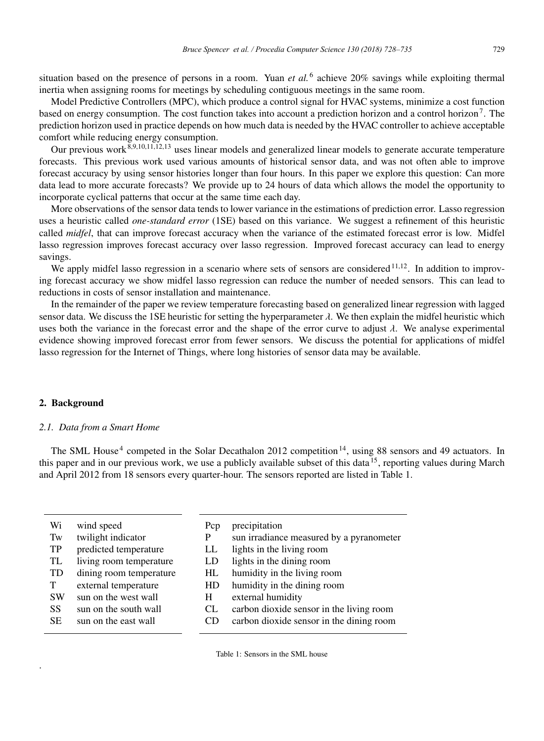situation based on the presence of persons in a room. Yuan *et al.* <sup>6</sup> achieve 20% savings while exploiting thermal inertia when assigning rooms for meetings by scheduling contiguous meetings in the same room.

Model Predictive Controllers (MPC), which produce a control signal for HVAC systems, minimize a cost function based on energy consumption. The cost function takes into account a prediction horizon and a control horizon<sup>7</sup>. The prediction horizon used in practice depends on how much data is needed by the HVAC controller to achieve acceptable comfort while reducing energy consumption.

Our previous work $\frac{8,9,10,11,12,13}{8}$  uses linear models and generalized linear models to generate accurate temperature forecasts. This previous work used various amounts of historical sensor data, and was not often able to improve forecast accuracy by using sensor histories longer than four hours. In this paper we explore this question: Can more data lead to more accurate forecasts? We provide up to 24 hours of data which allows the model the opportunity to incorporate cyclical patterns that occur at the same time each day.

More observations of the sensor data tends to lower variance in the estimations of prediction error. Lasso regression uses a heuristic called *one-standard error* (1SE) based on this variance. We suggest a refinement of this heuristic called *midfel*, that can improve forecast accuracy when the variance of the estimated forecast error is low. Midfel lasso regression improves forecast accuracy over lasso regression. Improved forecast accuracy can lead to energy savings.

We apply midfel lasso regression in a scenario where sets of sensors are considered  $11,12$ . In addition to improving forecast accuracy we show midfel lasso regression can reduce the number of needed sensors. This can lead to reductions in costs of sensor installation and maintenance.

In the remainder of the paper we review temperature forecasting based on generalized linear regression with lagged sensor data. We discuss the 1SE heuristic for setting the hyperparameter  $\lambda$ . We then explain the midfel heuristic which uses both the variance in the forecast error and the shape of the error curve to adjust  $\lambda$ . We analyse experimental evidence showing improved forecast error from fewer sensors. We discuss the potential for applications of midfel lasso regression for the Internet of Things, where long histories of sensor data may be available.

# 2. Background

.

#### *2.1. Data from a Smart Home*

The SML House<sup>4</sup> competed in the Solar Decathalon 2012 competition<sup>14</sup>, using 88 sensors and 49 actuators. In this paper and in our previous work, we use a publicly available subset of this data  $^{15}$ , reporting values during March and April 2012 from 18 sensors every quarter-hour. The sensors reported are listed in Table 1.

| Wi        | wind speed              | Pcp | precipitation                            |
|-----------|-------------------------|-----|------------------------------------------|
| Tw        | twilight indicator      | P   | sun irradiance measured by a pyranometer |
| TP        | predicted temperature   | LL  | lights in the living room                |
| TL        | living room temperature | LD. | lights in the dining room                |
| <b>TD</b> | dining room temperature | HL  | humidity in the living room              |
| T         | external temperature    | HD  | humidity in the dining room              |
| <b>SW</b> | sun on the west wall    | H   | external humidity                        |
| <b>SS</b> | sun on the south wall   | CL  | carbon dioxide sensor in the living room |
| <b>SE</b> | sun on the east wall    | CD. | carbon dioxide sensor in the dining room |
|           |                         |     |                                          |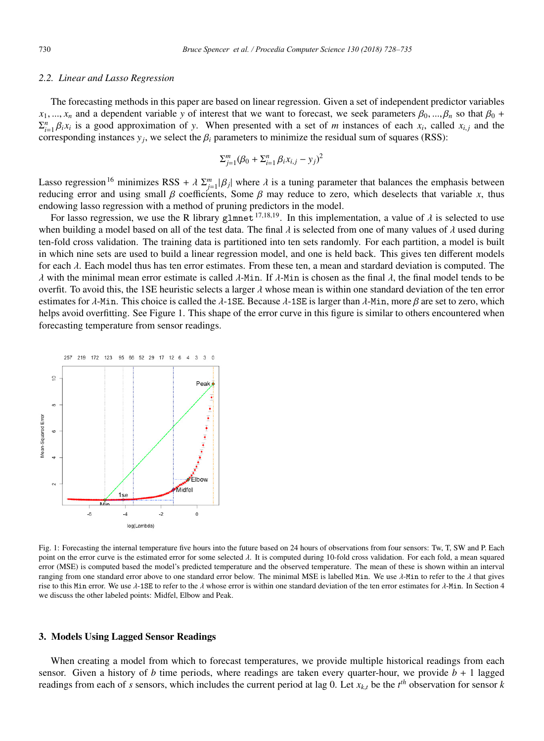#### *2.2. Linear and Lasso Regression*

The forecasting methods in this paper are based on linear regression. Given a set of independent predictor variables  $x_1, ..., x_n$  and a dependent variable *y* of interest that we want to forecast, we seek parameters  $\beta_0, ..., \beta_n$  so that  $\beta_0$  +  $\sum_{i=1}^{n} \beta_i x_i$  is a good approximation of *y*. When presented with a set of *m* instances of each  $x_i$ , called  $x_{i,j}$  and the corresponding instances  $y_i$ , we select the  $\beta_i$  parameters to minimize the residual sum of squares (RSS):

$$
\Sigma_{j=1}^m (\beta_0 + \Sigma_{i=1}^n \beta_i x_{i,j} - y_j)^2
$$

Lasso regression<sup>16</sup> minimizes RSS +  $\lambda \sum_{j=1}^{m} |\beta_j|$  where  $\lambda$  is a tuning parameter that balances the emphasis between reducing error and using small  $\beta$  coefficients, Some  $\beta$  may reduce to zero, which deselects that variable *x*, thus endowing lasso regression with a method of pruning predictors in the model.

For lasso regression, we use the R library glmnet<sup>17,18,19</sup>. In this implementation, a value of  $\lambda$  is selected to use when building a model based on all of the test data. The final  $\lambda$  is selected from one of many values of  $\lambda$  used during ten-fold cross validation. The training data is partitioned into ten sets randomly. For each partition, a model is built in which nine sets are used to build a linear regression model, and one is held back. This gives ten different models for each  $\lambda$ . Each model thus has ten error estimates. From these ten, a mean and stardard deviation is computed. The λ with the minimal mean error estimate is called λ-Min. If λ-Min is chosen as the final λ, the final model tends to be overfit. To avoid this, the 1SE heuristic selects a larger  $\lambda$  whose mean is within one standard deviation of the ten error estimates for λ-Min. This choice is called the λ-1SE. Because λ-1SE is larger than λ-Min, more β are set to zero, which helps avoid overfitting. See Figure 1. This shape of the error curve in this figure is similar to others encountered when forecasting temperature from sensor readings.



Fig. 1: Forecasting the internal temperature five hours into the future based on 24 hours of observations from four sensors: Tw, T, SW and P. Each point on the error curve is the estimated error for some selected λ. It is computed during 10-fold cross validation. For each fold, a mean squared error (MSE) is computed based the model's predicted temperature and the observed temperature. The mean of these is shown within an interval ranging from one standard error above to one standard error below. The minimal MSE is labelled Min. We use  $\lambda$ -Min to refer to the  $\lambda$  that gives rise to this Min error. We use  $\lambda$ -1SE to refer to the  $\lambda$  whose error is within one standard deviation of the ten error estimates for  $\lambda$ -Min. In Section 4 we discuss the other labeled points: Midfel, Elbow and Peak.

#### 3. Models Using Lagged Sensor Readings

When creating a model from which to forecast temperatures, we provide multiple historical readings from each sensor. Given a history of *b* time periods, where readings are taken every quarter-hour, we provide  $b + 1$  lagged readings from each of *s* sensors, which includes the current period at lag 0. Let  $x_{k,t}$  be the  $t^{th}$  observation for sensor  $k$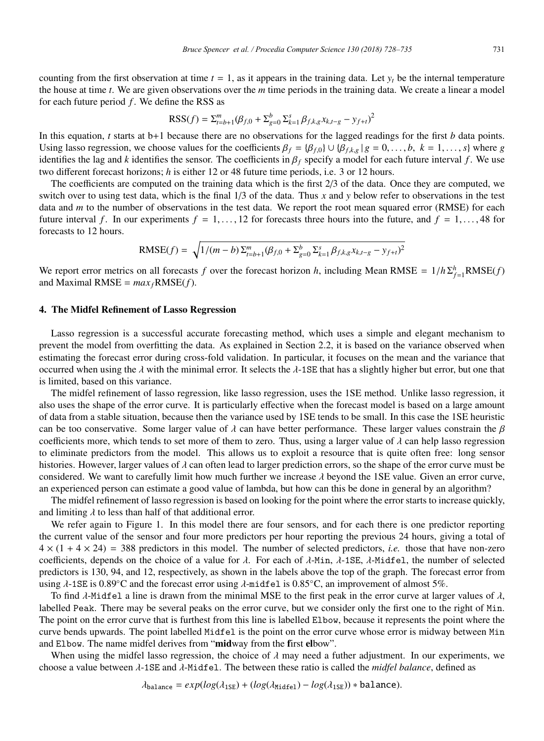counting from the first observation at time  $t = 1$ , as it appears in the training data. Let  $y_t$  be the internal temperature the house at time *t*. We are given observations over the *m* time periods in the training data. We create a linear a model for each future period *f*. We define the RSS as

$$
RSS(f) = \sum_{t=b+1}^{m} (\beta_{f,0} + \sum_{g=0}^{b} \sum_{k=1}^{s} \beta_{f,k,g} x_{k,t-g} - y_{f+t})^{2}
$$

In this equation, *t* starts at b+1 because there are no observations for the lagged readings for the first *b* data points. Using lasso regression, we choose values for the coefficients  $\beta_f = {\beta_{f,0}} \cup {\beta_{f,k,g} | g = 0, \ldots, b, k = 1, \ldots, s}$  where *g* identifies the lag and *k* identifies the sensor. The coefficients in  $\beta_f$  specify a model for each future interval f. We use two different forecast horizons; *h* is either 12 or 48 future time periods, i.e. 3 or 12 hours.

The coefficients are computed on the training data which is the first 2/3 of the data. Once they are computed, we switch over to using test data, which is the final 1/3 of the data. Thus *x* and *y* below refer to observations in the test data and *m* to the number of observations in the test data. We report the root mean squared error (RMSE) for each future interval f. In our experiments  $f = 1, \ldots, 12$  for forecasts three hours into the future, and  $f = 1, \ldots, 48$  for forecasts to 12 hours.

RMSE
$$
(f)
$$
 =  $\sqrt{1/(m-b)\Sigma_{t=b+1}^m(\beta_{f,0} + \Sigma_{g=0}^b\Sigma_{k=1}^s\beta_{f,k,g}x_{k,t-g} - y_{f+t})^2}$ 

We report error metrics on all forecasts *f* over the forecast horizon *h*, including Mean RMSE =  $1/h \sum_{f=1}^{h} RMSE(f)$ and Maximal RMSE =  $max_f$ RMSE(*f*).

### 4. The Midfel Refinement of Lasso Regression

Lasso regression is a successful accurate forecasting method, which uses a simple and elegant mechanism to prevent the model from overfitting the data. As explained in Section 2.2, it is based on the variance observed when estimating the forecast error during cross-fold validation. In particular, it focuses on the mean and the variance that occurred when using the  $\lambda$  with the minimal error. It selects the  $\lambda$ -1SE that has a slightly higher but error, but one that is limited, based on this variance.

The midfel refinement of lasso regression, like lasso regression, uses the 1SE method. Unlike lasso regression, it also uses the shape of the error curve. It is particularly effective when the forecast model is based on a large amount of data from a stable situation, because then the variance used by 1SE tends to be small. In this case the 1SE heuristic can be too conservative. Some larger value of  $\lambda$  can have better performance. These larger values constrain the  $\beta$ coefficients more, which tends to set more of them to zero. Thus, using a larger value of  $\lambda$  can help lasso regression to eliminate predictors from the model. This allows us to exploit a resource that is quite often free: long sensor histories. However, larger values of  $\lambda$  can often lead to larger prediction errors, so the shape of the error curve must be considered. We want to carefully limit how much further we increase  $\lambda$  beyond the 1SE value. Given an error curve, an experienced person can estimate a good value of lambda, but how can this be done in general by an algorithm?

The midfel refinement of lasso regression is based on looking for the point where the error starts to increase quickly, and limiting  $\lambda$  to less than half of that additional error.

We refer again to Figure 1. In this model there are four sensors, and for each there is one predictor reporting the current value of the sensor and four more predictors per hour reporting the previous 24 hours, giving a total of  $4 \times (1 + 4 \times 24) = 388$  predictors in this model. The number of selected predictors, *i.e.* those that have non-zero coefficients, depends on the choice of a value for  $\lambda$ . For each of  $\lambda$ -Min,  $\lambda$ -1SE,  $\lambda$ -Midfel, the number of selected predictors is 130, 94, and 12, respectively, as shown in the labels above the top of the graph. The forecast error from using  $\lambda$ -1SE is 0.89°C and the forecast error using  $\lambda$ -midfel is 0.85°C, an improvement of almost 5%.

To find  $\lambda$ -Midfel a line is drawn from the minimal MSE to the first peak in the error curve at larger values of  $\lambda$ , labelled Peak. There may be several peaks on the error curve, but we consider only the first one to the right of Min. The point on the error curve that is furthest from this line is labelled Elbow, because it represents the point where the curve bends upwards. The point labelled Midfel is the point on the error curve whose error is midway between Min and Elbow. The name midfel derives from "midway from the first elbow".

When using the midfel lasso regression, the choice of  $\lambda$  may need a futher adjustment. In our experiments, we choose a value between λ-1SE and λ-Midfel. The between these ratio is called the *midfel balance*, defined as

$$
\lambda_{\text{balance}} = exp(log(\lambda_{\text{1SE}}) + (log(\lambda_{\text{Midfel}}) - log(\lambda_{\text{1SE}})) * \text{balance}).
$$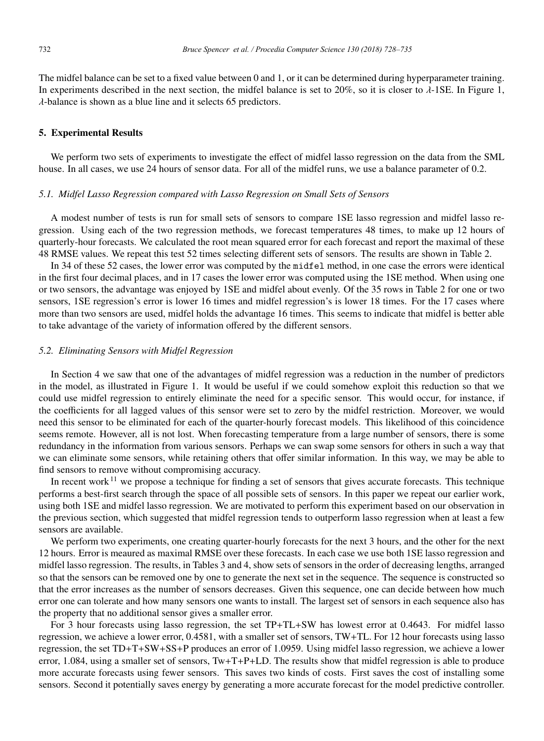The midfel balance can be set to a fixed value between 0 and 1, or it can be determined during hyperparameter training. In experiments described in the next section, the midfel balance is set to 20%, so it is closer to  $\lambda$ -1SE. In Figure 1, λ-balance is shown as a blue line and it selects 65 predictors.

#### 5. Experimental Results

We perform two sets of experiments to investigate the effect of midfel lasso regression on the data from the SML house. In all cases, we use 24 hours of sensor data. For all of the midfel runs, we use a balance parameter of 0.2.

#### *5.1. Midfel Lasso Regression compared with Lasso Regression on Small Sets of Sensors*

A modest number of tests is run for small sets of sensors to compare 1SE lasso regression and midfel lasso regression. Using each of the two regression methods, we forecast temperatures 48 times, to make up 12 hours of quarterly-hour forecasts. We calculated the root mean squared error for each forecast and report the maximal of these 48 RMSE values. We repeat this test 52 times selecting different sets of sensors. The results are shown in Table 2.

In 34 of these 52 cases, the lower error was computed by the midfel method, in one case the errors were identical in the first four decimal places, and in 17 cases the lower error was computed using the 1SE method. When using one or two sensors, the advantage was enjoyed by 1SE and midfel about evenly. Of the 35 rows in Table 2 for one or two sensors, 1SE regression's error is lower 16 times and midfel regression's is lower 18 times. For the 17 cases where more than two sensors are used, midfel holds the advantage 16 times. This seems to indicate that midfel is better able to take advantage of the variety of information offered by the different sensors.

#### *5.2. Eliminating Sensors with Midfel Regression*

In Section 4 we saw that one of the advantages of midfel regression was a reduction in the number of predictors in the model, as illustrated in Figure 1. It would be useful if we could somehow exploit this reduction so that we could use midfel regression to entirely eliminate the need for a specific sensor. This would occur, for instance, if the coefficients for all lagged values of this sensor were set to zero by the midfel restriction. Moreover, we would need this sensor to be eliminated for each of the quarter-hourly forecast models. This likelihood of this coincidence seems remote. However, all is not lost. When forecasting temperature from a large number of sensors, there is some redundancy in the information from various sensors. Perhaps we can swap some sensors for others in such a way that we can eliminate some sensors, while retaining others that offer similar information. In this way, we may be able to find sensors to remove without compromising accuracy.

In recent work $11$  we propose a technique for finding a set of sensors that gives accurate forecasts. This technique performs a best-first search through the space of all possible sets of sensors. In this paper we repeat our earlier work, using both 1SE and midfel lasso regression. We are motivated to perform this experiment based on our observation in the previous section, which suggested that midfel regression tends to outperform lasso regression when at least a few sensors are available.

We perform two experiments, one creating quarter-hourly forecasts for the next 3 hours, and the other for the next 12 hours. Error is meaured as maximal RMSE over these forecasts. In each case we use both 1SE lasso regression and midfel lasso regression. The results, in Tables 3 and 4, show sets of sensors in the order of decreasing lengths, arranged so that the sensors can be removed one by one to generate the next set in the sequence. The sequence is constructed so that the error increases as the number of sensors decreases. Given this sequence, one can decide between how much error one can tolerate and how many sensors one wants to install. The largest set of sensors in each sequence also has the property that no additional sensor gives a smaller error.

For 3 hour forecasts using lasso regression, the set TP+TL+SW has lowest error at 0.4643. For midfel lasso regression, we achieve a lower error, 0.4581, with a smaller set of sensors, TW+TL. For 12 hour forecasts using lasso regression, the set TD+T+SW+SS+P produces an error of 1.0959. Using midfel lasso regression, we achieve a lower error, 1.084, using a smaller set of sensors, Tw+T+P+LD. The results show that midfel regression is able to produce more accurate forecasts using fewer sensors. This saves two kinds of costs. First saves the cost of installing some sensors. Second it potentially saves energy by generating a more accurate forecast for the model predictive controller.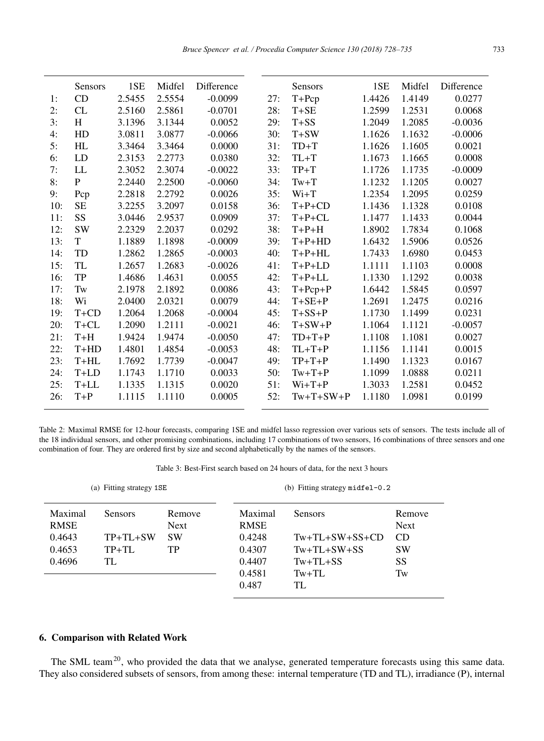|     | <b>Sensors</b> | 1SE    | Midfel | Difference |     | Sensors     | 1SE    | Midfel | Difference |
|-----|----------------|--------|--------|------------|-----|-------------|--------|--------|------------|
| 1:  | CD             | 2.5455 | 2.5554 | $-0.0099$  | 27: | $T+Pcp$     | 1.4426 | 1.4149 | 0.0277     |
| 2:  | CL             | 2.5160 | 2.5861 | $-0.0701$  | 28: | $T+SE$      | 1.2599 | 1.2531 | 0.0068     |
| 3:  | H              | 3.1396 | 3.1344 | 0.0052     | 29: | $T + SS$    | 1.2049 | 1.2085 | $-0.0036$  |
| 4:  | HD             | 3.0811 | 3.0877 | $-0.0066$  | 30: | $T+SW$      | 1.1626 | 1.1632 | $-0.0006$  |
| 5:  | HL             | 3.3464 | 3.3464 | 0.0000     | 31: | $TD+T$      | 1.1626 | 1.1605 | 0.0021     |
| 6:  | LD             | 2.3153 | 2.2773 | 0.0380     | 32: | $TL+T$      | 1.1673 | 1.1665 | 0.0008     |
| 7:  | LL             | 2.3052 | 2.3074 | $-0.0022$  | 33: | $TP+T$      | 1.1726 | 1.1735 | $-0.0009$  |
| 8:  | $\mathbf{P}$   | 2.2440 | 2.2500 | $-0.0060$  | 34: | $Tw+T$      | 1.1232 | 1.1205 | 0.0027     |
| 9:  | Pcp            | 2.2818 | 2.2792 | 0.0026     | 35: | $W_{i+T}$   | 1.2354 | 1.2095 | 0.0259     |
| 10: | <b>SE</b>      | 3.2255 | 3.2097 | 0.0158     | 36: | $T+P+CD$    | 1.1436 | 1.1328 | 0.0108     |
| 11: | SS             | 3.0446 | 2.9537 | 0.0909     | 37: | $T+P+CL$    | 1.1477 | 1.1433 | 0.0044     |
| 12: | <b>SW</b>      | 2.2329 | 2.2037 | 0.0292     | 38: | $T+P+H$     | 1.8902 | 1.7834 | 0.1068     |
| 13: | T              | 1.1889 | 1.1898 | $-0.0009$  | 39: | $T+P+HD$    | 1.6432 | 1.5906 | 0.0526     |
| 14: | TD             | 1.2862 | 1.2865 | $-0.0003$  | 40: | $T+P+HL$    | 1.7433 | 1.6980 | 0.0453     |
| 15: | TL             | 1.2657 | 1.2683 | $-0.0026$  | 41: | $T+P+LD$    | 1.1111 | 1.1103 | 0.0008     |
| 16: | TP             | 1.4686 | 1.4631 | 0.0055     | 42: | $T+P+LL$    | 1.1330 | 1.1292 | 0.0038     |
| 17: | Tw             | 2.1978 | 2.1892 | 0.0086     | 43: | $T+Pcp+P$   | 1.6442 | 1.5845 | 0.0597     |
| 18: | Wi             | 2.0400 | 2.0321 | 0.0079     | 44: | $T+SE+P$    | 1.2691 | 1.2475 | 0.0216     |
| 19: | $T+CD$         | 1.2064 | 1.2068 | $-0.0004$  | 45: | $T+SS+P$    | 1.1730 | 1.1499 | 0.0231     |
| 20: | $T+CL$         | 1.2090 | 1.2111 | $-0.0021$  | 46: | $T+SW+P$    | 1.1064 | 1.1121 | $-0.0057$  |
| 21: | $T+H$          | 1.9424 | 1.9474 | $-0.0050$  | 47: | $TD+T+P$    | 1.1108 | 1.1081 | 0.0027     |
| 22: | $T+HD$         | 1.4801 | 1.4854 | $-0.0053$  | 48: | $TL+T+P$    | 1.1156 | 1.1141 | 0.0015     |
| 23: | $T+HL$         | 1.7692 | 1.7739 | $-0.0047$  | 49: | $TP+T+P$    | 1.1490 | 1.1323 | 0.0167     |
| 24: | $T+LD$         | 1.1743 | 1.1710 | 0.0033     | 50: | $Tw+T+P$    | 1.1099 | 1.0888 | 0.0211     |
| 25: | $T+LL$         | 1.1335 | 1.1315 | 0.0020     | 51: | $Wi+T+P$    | 1.3033 | 1.2581 | 0.0452     |
| 26: | $T+P$          | 1.1115 | 1.1110 | 0.0005     | 52: | $Tw+T+SW+P$ | 1.1180 | 1.0981 | 0.0199     |
|     |                |        |        |            |     |             |        |        |            |

Table 2: Maximal RMSE for 12-hour forecasts, comparing 1SE and midfel lasso regression over various sets of sensors. The tests include all of the 18 individual sensors, and other promising combinations, including 17 combinations of two sensors, 16 combinations of three sensors and one combination of four. They are ordered first by size and second alphabetically by the names of the sensors.

Table 3: Best-First search based on 24 hours of data, for the next 3 hours

|             | (a) Fitting strategy 1SE |             | (b) Fitting strategy $midel-0.2$ |                  |             |  |
|-------------|--------------------------|-------------|----------------------------------|------------------|-------------|--|
| Maximal     | <b>Sensors</b>           | Remove      | Maximal                          | <b>Sensors</b>   | Remove      |  |
| <b>RMSE</b> |                          | <b>Next</b> | <b>RMSE</b>                      |                  | <b>Next</b> |  |
| 0.4643      | $TP+TL+SW$               | <b>SW</b>   | 0.4248                           | $Tw+TL+SW+SS+CD$ | CD.         |  |
| 0.4653      | $TP+TL$                  | TP          | 0.4307                           | $Tw+TL+SW+SS$    | <b>SW</b>   |  |
| 0.4696      | TL                       |             | 0.4407                           | $Tw+TL+SS$       | SS          |  |
|             |                          |             | 0.4581                           | $Tw+TL$          | Tw          |  |
|             |                          |             | 0.487                            | TL               |             |  |
|             |                          |             |                                  |                  |             |  |

## 6. Comparison with Related Work

The SML team<sup>20</sup>, who provided the data that we analyse, generated temperature forecasts using this same data. They also considered subsets of sensors, from among these: internal temperature (TD and TL), irradiance (P), internal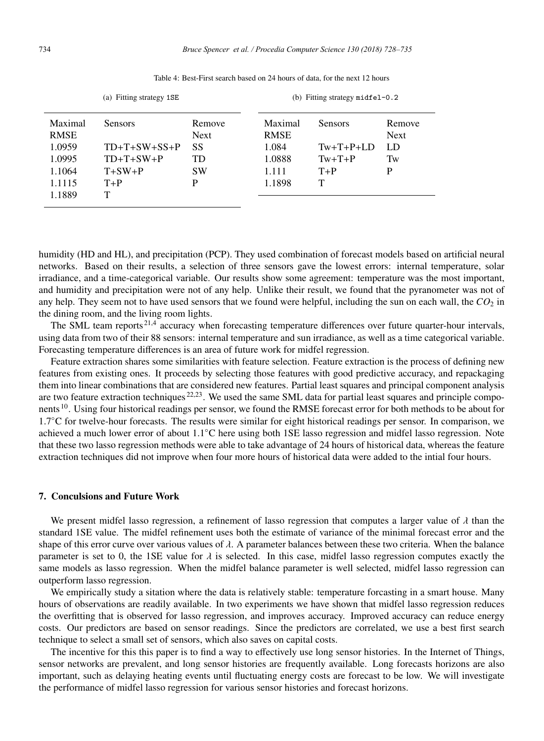|             | (a) Fitting strategy 1SE |             | (b) Fitting strategy $midel-0.2$ |                |             |  |
|-------------|--------------------------|-------------|----------------------------------|----------------|-------------|--|
| Maximal     | <b>Sensors</b>           | Remove      | Maximal                          | <b>Sensors</b> | Remove      |  |
| <b>RMSE</b> |                          | <b>Next</b> | <b>RMSE</b>                      |                | <b>Next</b> |  |
| 1.0959      | $TD+T+SW+SS+P$           | <b>SS</b>   | 1.084                            | $Tw+T+P+LD$    | LD.         |  |
| 1.0995      | $TD+T+SW+P$              | TD          | 1.0888                           | $Tw+T+P$       | Tw          |  |
| 1.1064      | $T+SW+P$                 | <b>SW</b>   | 1.111                            | $T+P$          | P           |  |
| 1.1115      | $T+P$                    | P           | 1.1898                           | т              |             |  |
| 1.1889      |                          |             |                                  |                |             |  |

Table 4: Best-First search based on 24 hours of data, for the next 12 hours

humidity (HD and HL), and precipitation (PCP). They used combination of forecast models based on artificial neural networks. Based on their results, a selection of three sensors gave the lowest errors: internal temperature, solar irradiance, and a time-categorical variable. Our results show some agreement: temperature was the most important, and humidity and precipitation were not of any help. Unlike their result, we found that the pyranometer was not of any help. They seem not to have used sensors that we found were helpful, including the sun on each wall, the  $CO<sub>2</sub>$  in the dining room, and the living room lights.

The SML team reports  $21.4$  accuracy when forecasting temperature differences over future quarter-hour intervals, using data from two of their 88 sensors: internal temperature and sun irradiance, as well as a time categorical variable. Forecasting temperature differences is an area of future work for midfel regression.

Feature extraction shares some similarities with feature selection. Feature extraction is the process of defining new features from existing ones. It proceeds by selecting those features with good predictive accuracy, and repackaging them into linear combinations that are considered new features. Partial least squares and principal component analysis are two feature extraction techniques <sup>22,23</sup>. We used the same SML data for partial least squares and principle components <sup>10</sup>. Using four historical readings per sensor, we found the RMSE forecast error for both methods to be about for 1.7◦C for twelve-hour forecasts. The results were similar for eight historical readings per sensor. In comparison, we achieved a much lower error of about 1.1◦C here using both 1SE lasso regression and midfel lasso regression. Note that these two lasso regression methods were able to take advantage of 24 hours of historical data, whereas the feature extraction techniques did not improve when four more hours of historical data were added to the intial four hours.

#### 7. Conculsions and Future Work

We present midfel lasso regression, a refinement of lasso regression that computes a larger value of  $\lambda$  than the standard 1SE value. The midfel refinement uses both the estimate of variance of the minimal forecast error and the shape of this error curve over various values of  $\lambda$ . A parameter balances between these two criteria. When the balance parameter is set to 0, the 1SE value for  $\lambda$  is selected. In this case, midfel lasso regression computes exactly the same models as lasso regression. When the midfel balance parameter is well selected, midfel lasso regression can outperform lasso regression.

We empirically study a sitation where the data is relatively stable: temperature forcasting in a smart house. Many hours of observations are readily available. In two experiments we have shown that midfel lasso regression reduces the overfitting that is observed for lasso regression, and improves accuracy. Improved accuracy can reduce energy costs. Our predictors are based on sensor readings. Since the predictors are correlated, we use a best first search technique to select a small set of sensors, which also saves on capital costs.

The incentive for this this paper is to find a way to effectively use long sensor histories. In the Internet of Things, sensor networks are prevalent, and long sensor histories are frequently available. Long forecasts horizons are also important, such as delaying heating events until fluctuating energy costs are forecast to be low. We will investigate the performance of midfel lasso regression for various sensor histories and forecast horizons.